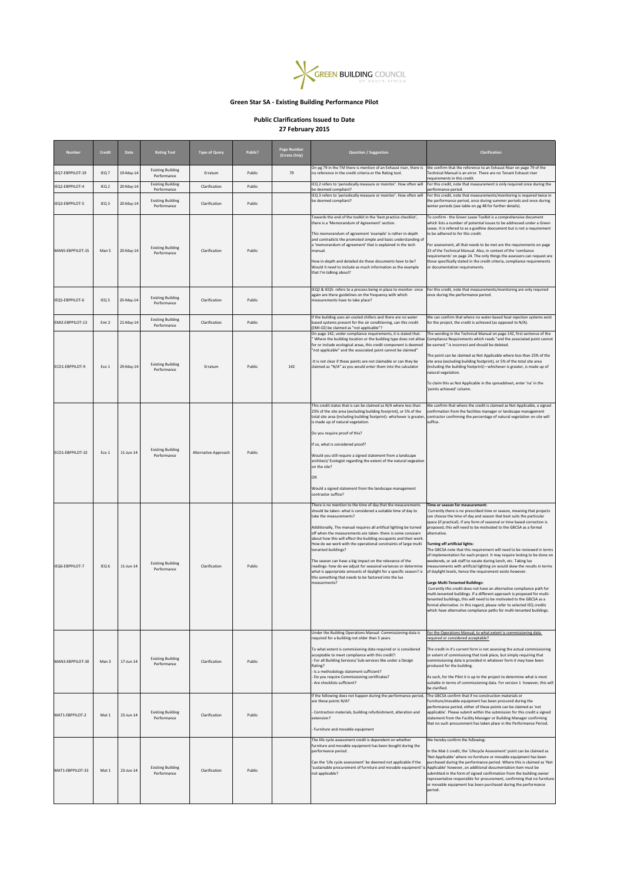| <b>Number</b>    | <b>Credit</b>    | <b>Date</b> | <b>Rating Tool</b>                      | <b>Type of Query</b> | <b>Public?</b> | <b>Page Number</b><br>(Errata Only) | <b>Question / Suggestion</b>                                                                                                                                                                                                                                                                                                                                                                                                                                                                                                                                                                                                                                                                                                           | <b>Clarification</b>                                                                                                                                                                                                                                                                                                                                                                                                                                                                                                                                                                                                                                                                                                                                                                                                                                                                                                                                                                                                                                                                                                                                                                       |
|------------------|------------------|-------------|-----------------------------------------|----------------------|----------------|-------------------------------------|----------------------------------------------------------------------------------------------------------------------------------------------------------------------------------------------------------------------------------------------------------------------------------------------------------------------------------------------------------------------------------------------------------------------------------------------------------------------------------------------------------------------------------------------------------------------------------------------------------------------------------------------------------------------------------------------------------------------------------------|--------------------------------------------------------------------------------------------------------------------------------------------------------------------------------------------------------------------------------------------------------------------------------------------------------------------------------------------------------------------------------------------------------------------------------------------------------------------------------------------------------------------------------------------------------------------------------------------------------------------------------------------------------------------------------------------------------------------------------------------------------------------------------------------------------------------------------------------------------------------------------------------------------------------------------------------------------------------------------------------------------------------------------------------------------------------------------------------------------------------------------------------------------------------------------------------|
| IEQ7-EBPPILOT-19 | IEQ <sub>7</sub> | 19-May-14   | <b>Existing Building</b><br>Performance | Erratum              | Public         | 79                                  | On pg 79 in the TM there is mention of an Exhaust riser, there is<br>no reference in the credit criteria or the Rating tool.                                                                                                                                                                                                                                                                                                                                                                                                                                                                                                                                                                                                           | We confirm that the reference to an Exhaust Riser on page 79 of the<br>Technical Manual is an error. There are no Tenant Exhaust riser<br>requirements in this credit.                                                                                                                                                                                                                                                                                                                                                                                                                                                                                                                                                                                                                                                                                                                                                                                                                                                                                                                                                                                                                     |
| IEQ2-EBPPILOT-4  | IEQ <sub>2</sub> | 20-May-14   | <b>Existing Building</b><br>Performance | Clarification        | Public         |                                     | IEQ 2 refers to 'periodically measure or monitor'. How often will<br>be deemed compliant?                                                                                                                                                                                                                                                                                                                                                                                                                                                                                                                                                                                                                                              | For this credit, note that measurement is only required once during the<br>performance period.                                                                                                                                                                                                                                                                                                                                                                                                                                                                                                                                                                                                                                                                                                                                                                                                                                                                                                                                                                                                                                                                                             |
| IEQ3-EBPPILOT-5  | IEQ <sub>3</sub> | 20-May-14   | <b>Existing Building</b><br>Performance | Clarification        | Public         |                                     | IEQ 3 refers to 'periodically measure or monitor'. How often will<br>be deemed compliant?                                                                                                                                                                                                                                                                                                                                                                                                                                                                                                                                                                                                                                              | For this credit, note that measurements/monitoring is required twice in<br>the performance period, once during summer periods and once during<br>winter periods (see table on pg 48 for further details).                                                                                                                                                                                                                                                                                                                                                                                                                                                                                                                                                                                                                                                                                                                                                                                                                                                                                                                                                                                  |
| MAN5-EBPPILOT-15 | Man 5            | 20-May-14   | <b>Existing Building</b><br>Performance | Clarification        | Public         |                                     | Towards the end of the toolkit in the 'best practice checklist',<br>there is a 'Memorandum of Agreement' section.<br>This memorandum of agreement 'example' is rather in-depth<br>and contradicts the promoted simple and basic understanding of<br>a 'memorandum of agreement' that is explained in the tech<br>manual.<br>How in-depth and detailed do these documents have to be?<br>Would it need to include as much information as the example<br>that I'm talking about?                                                                                                                                                                                                                                                         | To confirm - the Green Lease Toolkit is a comprehensive document<br>which lists a number of potential issues to be addressed under a Green<br>Lease. It is refered to as a guidline doocument but is not a requirement<br>to be adhered to for this credit.<br>For assessment, all that needs to be met are the requirements on page<br>23 of the Technical Manual. Also, in context of the 'comliance<br>requirements' on page 24. The only things the assessors can request are<br>those specifically stated in the credit criteria, compliance requirements<br>or documentation requirements.                                                                                                                                                                                                                                                                                                                                                                                                                                                                                                                                                                                           |
| IEQ5-EBPPILOT-6  | IEQ <sub>5</sub> | 20-May-14   | <b>Existing Building</b><br>Performance | Clarification        | Public         |                                     | IEQ2 & IEQ5- refers to a process being in place to monitor-once<br>again are there guidelines on the frequency with which<br>measurements have to take place?                                                                                                                                                                                                                                                                                                                                                                                                                                                                                                                                                                          | For this credit, note that measurements/monitoring are only required<br>once during the performance period.                                                                                                                                                                                                                                                                                                                                                                                                                                                                                                                                                                                                                                                                                                                                                                                                                                                                                                                                                                                                                                                                                |
| EMI2-EBPPILOT-13 | Emi <sub>2</sub> | 21-May-14   | <b>Existing Building</b><br>Performance | Clarification        | Public         |                                     | If the building uses air-cooled chillers and there are no water<br>based systems present for the air conditioning, can this credit<br>(EMI-02) be claimed as "not applicable"?                                                                                                                                                                                                                                                                                                                                                                                                                                                                                                                                                         | We can confirm that where no water-based heat rejection systems exist<br>for the project, the credit is achieved (as opposed to N/A).                                                                                                                                                                                                                                                                                                                                                                                                                                                                                                                                                                                                                                                                                                                                                                                                                                                                                                                                                                                                                                                      |
|                  |                  |             |                                         |                      |                |                                     | On page 142, under compliance requirements, it is stated that:<br>Where the building location or the building type does not allow<br>for or include ecological areas, this credit component is deemed<br>"not applicable" and the associated point cannot be claimed"                                                                                                                                                                                                                                                                                                                                                                                                                                                                  | The wording in the Technical Manual on page 142, first sentence of the<br>Compliance Requirements which reads "and the associated point cannot<br>be earned." is incorrect and should be deleted.                                                                                                                                                                                                                                                                                                                                                                                                                                                                                                                                                                                                                                                                                                                                                                                                                                                                                                                                                                                          |
| ECO1-EBPPILOT-9  | Eco 1            | 29-May-14   | <b>Existing Building</b><br>Performance | Erratum              | Public         | 142                                 | -It is not clear if these points are not claimable or can they be<br>claimed as "N/A" as you would enter them into the calculator                                                                                                                                                                                                                                                                                                                                                                                                                                                                                                                                                                                                      | The point can be claimed as Not Applicable where less than 25% of the<br>site area (excluding building footprint), or 5% of the total site area<br>(including the building footprint)-whichever is greater, is made up of<br>natural vegetation.                                                                                                                                                                                                                                                                                                                                                                                                                                                                                                                                                                                                                                                                                                                                                                                                                                                                                                                                           |
|                  |                  |             |                                         |                      |                |                                     |                                                                                                                                                                                                                                                                                                                                                                                                                                                                                                                                                                                                                                                                                                                                        | To claim this as Not Applicable in the spreadsheet, enter 'na' in the<br>'points achieved' column.                                                                                                                                                                                                                                                                                                                                                                                                                                                                                                                                                                                                                                                                                                                                                                                                                                                                                                                                                                                                                                                                                         |
| ECO1-EBPPILOT-32 | Eco 1            | 11-Jun-14   | <b>Existing Building</b><br>Performance | Alternative Approach | Public         |                                     | This credit states that is can be claimed as N/A where less than<br>25% of the site area (excluding building foorprint), or 5% of the<br>total site area (including building footprint)- whichever is greater,<br>is made up of natural vegetation.<br>Do you require proof of this?<br>If so, what is considered proof?<br>Would you still require a signed statement from a landscape<br>architect/ Ecologist regarding the extent of the natural vegeation<br>on the site?<br><b>OR</b><br>Would a signed statement from the landscape management<br>contractor suffice?                                                                                                                                                            | We confirm that where the credit is claimed as Not Applicable, a signed<br>confirmation from the facilities manager or landscape management<br>contractor confirming the percentage of natural vegetation on site will<br>suffice.                                                                                                                                                                                                                                                                                                                                                                                                                                                                                                                                                                                                                                                                                                                                                                                                                                                                                                                                                         |
| IEQ6-EBPPILOT-7  | IEQ <sub>6</sub> | 11-Jun-14   | <b>Existing Building</b><br>Performance | Clarification        | Public         |                                     | There is no mention to the time of day that the measurements<br>should be taken- what is considered a suitable time of day to<br>take the measurements?<br>Additionally, The manual requires all artifical lighting be turned<br>off when the measurements are taken- there is some concearn<br>about how this will effect the building occupants and their work.<br>How do we work with the operational constraints of large multi<br>tenanted buildings?<br>The season can have a big impact on the relevance of the<br>readings- how do we adjust for seasonal variances or determine<br>what is apporpriate amounts of daylight for a specific season? is<br>this something that needs to be factored into the lux<br>measurments? | Time or season for measurement:<br>Currently there is no prescribed time or season, meaning that projects<br>can choose the time of day and season that best suits the particular<br>space (if practical). If any form of seasonal or time based correction is<br>proposed, this will need to be motivated to the GBCSA as a formal<br>alternative.<br><b>Turning off artificial lights:</b><br>The GBCSA note that this requirement will need to be reviewed in terms<br>of implementation for each project. It may require testing to be done on<br>weekends, or ask staff to vacate during lunch, etc. Taking lux<br>measurements with artificial lighting on would skew the results in terms<br>of daylight levels, hence the requirement exists however.<br><b>Large Multi-Tenanted Buildings:</b><br>Currently this credit does not have an alternative compliance path for<br>multi-tenanted buildings. If a different approach is proposed for multi-<br>tenanted buildings, this will need to be motivated to the GBCSA as a<br>formal alternative. In this regard, please refer to selected IEQ credits<br>which have alternative compliance paths for multi-tenanted buildings. |
|                  |                  |             |                                         |                      |                |                                     | Under the Building Operations Manual-Commissioning data is<br>required for a building not older than 5 years.                                                                                                                                                                                                                                                                                                                                                                                                                                                                                                                                                                                                                          | For the Operations Manual, to what extent is commissioning data<br>required or considered acceptable?                                                                                                                                                                                                                                                                                                                                                                                                                                                                                                                                                                                                                                                                                                                                                                                                                                                                                                                                                                                                                                                                                      |
| MAN3-EBPPILOT-30 | Man 3            | 17-Jun-14   | <b>Existing Building</b><br>Performance | Clarification        | Public         |                                     | To what extent is commisioning data required or is considered<br>acceptable to meet compliance with this credit?:<br>For all Building Services/ Sub-services like under a Design<br>Rating?<br>- Is a methodology statement sufficient?<br>Do you require Commissioning certificates?<br>Are checklists sufficient?                                                                                                                                                                                                                                                                                                                                                                                                                    | The credit in it's current form is not assessing the actual commissioning<br>or extent of commissiong that took place, but simply requiring that<br>commissioning data is provided in whatever form it may have been<br>produced for the building.<br>As such, for the Pilot it is up to the project to determine what is most<br>suitable in terms of commissioning data. For version 1 however, this will<br>be clarified.                                                                                                                                                                                                                                                                                                                                                                                                                                                                                                                                                                                                                                                                                                                                                               |
| MAT1-EBPPILOT-2  | Mat 1            | 23-Jun-14   | <b>Existing Building</b><br>Performance | Clarification        | Public         |                                     | If the following does not happen during the performance period,<br>are these points N/A?<br>Contraction materials, building refurbishment, alteration and<br>extension?<br>Furniture and movable equipment                                                                                                                                                                                                                                                                                                                                                                                                                                                                                                                             | The GBCSA confirm that if no construction materials or<br>Furniture/movable equipment has been procured during the<br>performance period, either of these points can be claimed as 'not<br>applicable'. Please submit within the submission for this credit a signed<br>statement from the Facility Manager or Building Manager confirming<br>that no such procurement has taken place in the Performance Period.                                                                                                                                                                                                                                                                                                                                                                                                                                                                                                                                                                                                                                                                                                                                                                          |
| MAT1-EBPPILOT-33 | Mat 1            | 23-Jun-14   | <b>Existing Building</b><br>Performance | Clarification        | Public         |                                     | The life cycle assessment credit is dependent on whether<br>furniture and movable equipment has been bought during the<br>performance period.<br>Can the 'Life cycle assessment' be deemed not applicable if the<br>not applicable?                                                                                                                                                                                                                                                                                                                                                                                                                                                                                                    | We hereby confirm the following:<br>In the Mat-1 credit, the 'Lifecycle Assessment' point can be claimed as<br>'Not Applicable' where no furniture or movable equipment has been<br>purchased during the performance period. Where this is claimed as 'Not<br>'sustainable procurement of furniture and movable equipment' is Applicable' however, an additional documentation item must be<br>submitted in the form of signed confirmation from the building owner<br>representative responsible for procurement, confirming that no furniture<br>or movable equipment has been purchased during the performance<br>period.                                                                                                                                                                                                                                                                                                                                                                                                                                                                                                                                                               |



## **Green Star SA - Existing Building Performance Pilot**

## **Public Clarifications Issued to Date 27 February 2015**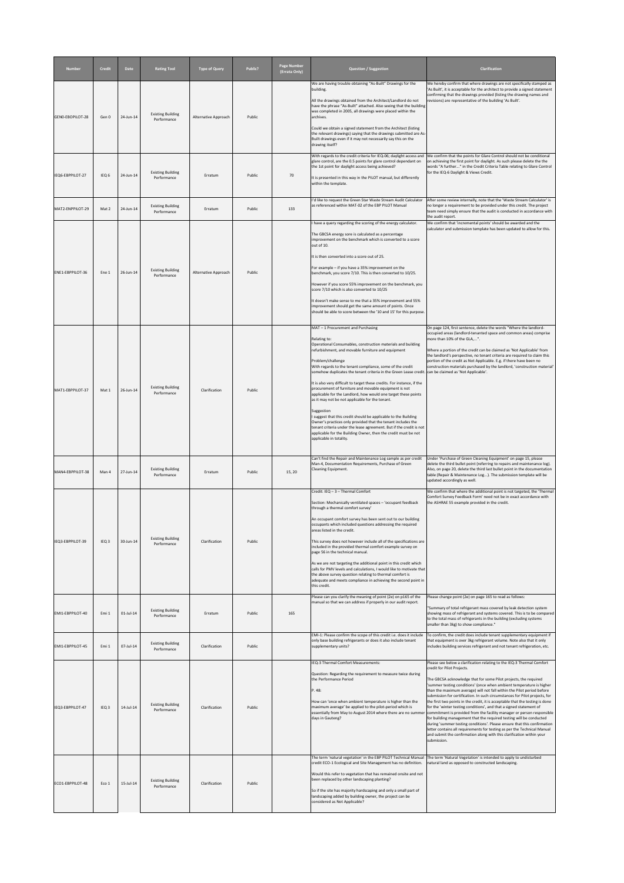| <b>Number</b>    | <b>Credit</b>    | <b>Date</b>  | <b>Rating Tool</b>                      | <b>Type of Query</b> | Public? | <b>Page Number</b><br>(Errata Only) | <b>Question / Suggestion</b>                                                                                                                                                                                                                                                                                                                                                                                                                                                                                                                                                                                                                                                                                                                                                                                                                                                                                  | <b>Clarification</b>                                                                                                                                                                                                                                                                                                                                                                                                                                                                                                                                                                                                                                                                                                                                                                                                                                                                                                                                               |
|------------------|------------------|--------------|-----------------------------------------|----------------------|---------|-------------------------------------|---------------------------------------------------------------------------------------------------------------------------------------------------------------------------------------------------------------------------------------------------------------------------------------------------------------------------------------------------------------------------------------------------------------------------------------------------------------------------------------------------------------------------------------------------------------------------------------------------------------------------------------------------------------------------------------------------------------------------------------------------------------------------------------------------------------------------------------------------------------------------------------------------------------|--------------------------------------------------------------------------------------------------------------------------------------------------------------------------------------------------------------------------------------------------------------------------------------------------------------------------------------------------------------------------------------------------------------------------------------------------------------------------------------------------------------------------------------------------------------------------------------------------------------------------------------------------------------------------------------------------------------------------------------------------------------------------------------------------------------------------------------------------------------------------------------------------------------------------------------------------------------------|
| GENO-EBOPILOT-28 | Gen 0            | 24-Jun-14    | <b>Existing Building</b><br>Performance | Alternative Approach | Public  |                                     | We are having trouble obtaining "As-Built" Drawings for the<br>building.<br>All the drawings obtained from the Architect/Landlord do not<br>have the phrase "As-Built" attached. Also seeing that the building<br>was completed in 2005, all drawings were placed within the<br>archives.<br>Could we obtain a signed statement from the Architect (listing<br>the relevant drawings) saying that the drawings submitted are As-                                                                                                                                                                                                                                                                                                                                                                                                                                                                              | We hereby confirm that where drawings are not specifically stamped as<br>'As Built', it is acceptable for the architect to provide a signed statement<br>confirming that the drawings provided (listing the drawing names and<br>revisions) are representative of the building 'As Built'.                                                                                                                                                                                                                                                                                                                                                                                                                                                                                                                                                                                                                                                                         |
| IEQ6-EBPPILOT-27 | IEQ <sub>6</sub> | 24-Jun-14    | <b>Existing Building</b><br>Performance | Erratum              | Public  | 70                                  | Built drawings even if it may not necessarily say this on the<br>drawing itself?<br>With regards to the credit criteria for IEQ-06; daylight access and<br>glare control, are the 0.5 points for glare control dependant on<br>the 1st point for daylight access being achieved?<br>It is presented in this way in the PILOT manual, but differently<br>within the template.                                                                                                                                                                                                                                                                                                                                                                                                                                                                                                                                  | We confirm that the points for Glare Control should not be conditional<br>on achieving the first point for daylight. As such please delete the the<br>words "A further" in the Credit Criteria Table relating to Glare Control<br>for the IEQ-6 Daylight & Views Credit.                                                                                                                                                                                                                                                                                                                                                                                                                                                                                                                                                                                                                                                                                           |
| MAT2-ENPPILOT-29 | Mat 2            | 24-Jun-14    | <b>Existing Building</b><br>Performance | Erratum              | Public  | 133                                 | I'd like to request the Green Star Waste Stream Audit Calculator<br>as referenced within MAT-02 of the EBP PILOT Manual                                                                                                                                                                                                                                                                                                                                                                                                                                                                                                                                                                                                                                                                                                                                                                                       | After some review internally, note that the 'Waste Stream Calculator' is<br>no longer a requirement to be provided under this credit. The project<br>team need simply ensure that the audit is conducted in accordance with<br>the audit report.                                                                                                                                                                                                                                                                                                                                                                                                                                                                                                                                                                                                                                                                                                                   |
| ENE1-EBPPILOT-36 | Ene 1            | 26-Jun-14    | <b>Existing Building</b><br>Performance | Alternative Approach | Public  |                                     | I have a query regarding the scoring of the energy calculator.<br>The GBCSA energy sore is calculated as a percentage<br>improvement on the benchmark which is converted to a score<br>out of 10.<br>It is then converted into a score out of 25.<br>For example $-$ if you have a 35% improvement on the<br>benchmark, you score 7/10. This is then converted to 10/25.<br>However if you score 55% improvement on the benchmark, you<br>score 7/10 which is also converted to 10/25<br>It doesn't make sense to me that a 35% improvement and 55%<br>improvement should get the same amount of points. Once<br>should be able to score between the '10 and 15' for this purpose.                                                                                                                                                                                                                            | We confirm that 'incremental points' should be awarded and the<br>calculator and submission template has been updated to allow for this.                                                                                                                                                                                                                                                                                                                                                                                                                                                                                                                                                                                                                                                                                                                                                                                                                           |
| MAT1-EBPPILOT-37 | Mat 1            | 26-Jun-14    | <b>Existing Building</b><br>Performance | Clarification        | Public  |                                     | MAT - 1 Procurement and Purchasing<br>Relating to:<br>Operational Consumables, construction materials and building<br>refurbishment, and movable furniture and equipment<br>Problem/challenge<br>With regards to the tenant compliance, some of the credit<br>somehow duplicates the tenant criteria in the Green Lease credit.<br>It is also very difficult to target these credits. For instance, if the<br>procurement of furniture and movable equipment is not<br>applicable for the Landlord, how would one target these points<br>as it may not be not applicable for the tenant.<br>Suggestion<br>I suggest that this credit should be applicable to the Building<br>Owner's practices only provided that the tenant includes the<br>tenant criteria under the lease agreement. But if the credit is not<br>applicable for the Building Owner, then the credit must be not<br>applicable in totality. | On page 124, first sentence, delete the words "Where the landlord-<br>occupied areas (landlord-tenanted space and common areas) comprise<br>more than 10% of the GLA,".<br>Where a portion of the credit can be claimed as 'Not Applicable' from<br>the landlord's perspective, no tenant criteria are required to claim this<br>portion of the credit as Not Applicable. E.g. if there have been no<br>construction materials purchased by the landlord, 'construction material'<br>. can be claimed as 'Not Applicable'.                                                                                                                                                                                                                                                                                                                                                                                                                                         |
| MAN4-EBPPILOT-38 | Man 4            | 27-Jun-14    | <b>Existing Building</b><br>Performance | Erratum              | Public  | 15, 20                              | Can't find the Repair and Maintenance Log sample as per credit<br>Man-4, Documentation Requirements, Purchase of Green<br>Cleaning Equipment.                                                                                                                                                                                                                                                                                                                                                                                                                                                                                                                                                                                                                                                                                                                                                                 | Under 'Purchase of Green Cleaning Equipment' on page 15, please<br>delete the third bullet point (referring to repairs and maintenance log).<br>Also, on page 20, delete the third last bullet point in the documentation<br>table (Repair & Maintenance Log). The submission template will be<br>updated accordingly as well.                                                                                                                                                                                                                                                                                                                                                                                                                                                                                                                                                                                                                                     |
| IEQ3-EBPPILOT-39 | IEQ <sub>3</sub> | 30-Jun-14    | <b>Existing Building</b><br>Performance | Clarification        | Public  |                                     | $\vert$ Credit: IEQ - 3 - Thermal Comfort<br>Section: Mechanically ventilated spaces - 'occupant feedback<br>through a thermal comfort survey'<br>An occupant comfort survey has been sent out to our building<br>occupants which included questions addressing the required<br>areas listed in the credit.<br>This survey does not however include all of the specifications are<br>included in the provided thermal comfort example survey on<br>page 56 in the technical manual.<br>As we are not targeting the additional point in this credit which<br>calls for PMV levels and calculations, I would like to motivate that<br>the above survey question relating to thermal comfort is<br>adequate and meets compliance in achieving the second point in<br>this credit.                                                                                                                                | We confirm that where the additional point is not targeted, the 'Thermal<br>Comfort Survey Feedback Form' need not be in exact accordance with<br>the ASHRAE 55 example provided in the credit.                                                                                                                                                                                                                                                                                                                                                                                                                                                                                                                                                                                                                                                                                                                                                                    |
| EMI1-EBPPILOT-40 | Emi 1            | $01$ -Jul-14 | <b>Existing Building</b><br>Performance | Erratum              | Public  | 165                                 | Please can you clarify the meaning of point (2e) on p165 of the<br>manual so that we can address if properly in our audit report.                                                                                                                                                                                                                                                                                                                                                                                                                                                                                                                                                                                                                                                                                                                                                                             | Please change point (2e) on page 165 to read as follows:<br>"Summary of total refrigerant mass covered by leak detection system<br>showing mass of refrigerant and systems covered. This is to be compared<br>to the total mass of refrigerants in the building (excluding systems<br>smaller than 3kg) to show compliance."                                                                                                                                                                                                                                                                                                                                                                                                                                                                                                                                                                                                                                       |
| EMI1-EBPPILOT-45 | Emi 1            | 07-Jul-14    | <b>Existing Building</b><br>Performance | Clarification        | Public  |                                     | EMI-1: Please confirm the scope of this credit i.e. does it include<br>only base building refrigerants or does it also include tenant<br>supplementary units?                                                                                                                                                                                                                                                                                                                                                                                                                                                                                                                                                                                                                                                                                                                                                 | To confirm, the credit does include tenant supplementary equipment if<br>that equipment is over 3kg refrigerant volume. Note also that it only<br>includes building services refrigerant and not tenant refrigeration, etc.                                                                                                                                                                                                                                                                                                                                                                                                                                                                                                                                                                                                                                                                                                                                        |
| IEQ3-EBPPILOT-47 | IEQ <sub>3</sub> | 14-Jul-14    | <b>Existing Building</b><br>Performance | Clarification        | Public  |                                     | IEQ-3 Thermal Comfort Measurements:<br>Question: Regarding the requirement to measure twice during<br>the Performance Period<br>P.48:<br>How can 'once when ambient temperature is higher than the<br>maximum average' be applied to the pilot-period which is<br>essentially from May to August 2014 where there are no summer<br>days in Gauteng?                                                                                                                                                                                                                                                                                                                                                                                                                                                                                                                                                           | Please see below a clarification relating to the IEQ-3 Thermal Comfort<br>credit for Pilot Projects.<br>The GBCSA acknowledge that for some Pilot projects, the required<br>'summer testing conditions' (once when ambient temperature is higher<br>than the maximum average) will not fall within the Pilot period before<br>submission for certification. In such circumstances for Pilot projects, for<br>the first two points in the credit, it is acceptable that the testing is done<br>for the 'winter testing conditions', and that a signed statement of<br>commitment is provided from the facility manager or person responsible<br>for building management that the required testing will be conducted<br>during 'summer testing conditions'. Please ensure that this confirmation<br>letter contains all requirements for testing as per the Technical Manual<br>and submit the confirmation along with this clarification within your<br>submission. |
| ECO1-EBPPILOT-48 | Eco 1            | 15-Jul-14    | <b>Existing Building</b><br>Performance | Clarification        | Public  |                                     | The term 'natural vegetation' in the EBP PILOT Technical Manual<br>credit ECO-1 Ecological and Site Management has no definition.<br>Would this refer to vegetation that has remained onsite and not<br>been replaced by other landscaping planting?<br>So if the site has majority hardscaping and only a small part of<br>landscaping added by building owner, the project can be<br>considered as Not Applicable?                                                                                                                                                                                                                                                                                                                                                                                                                                                                                          | The term 'Natural Vegetation' is intended to apply to undisturbed<br>natural land as opposed to constructed landscaping.                                                                                                                                                                                                                                                                                                                                                                                                                                                                                                                                                                                                                                                                                                                                                                                                                                           |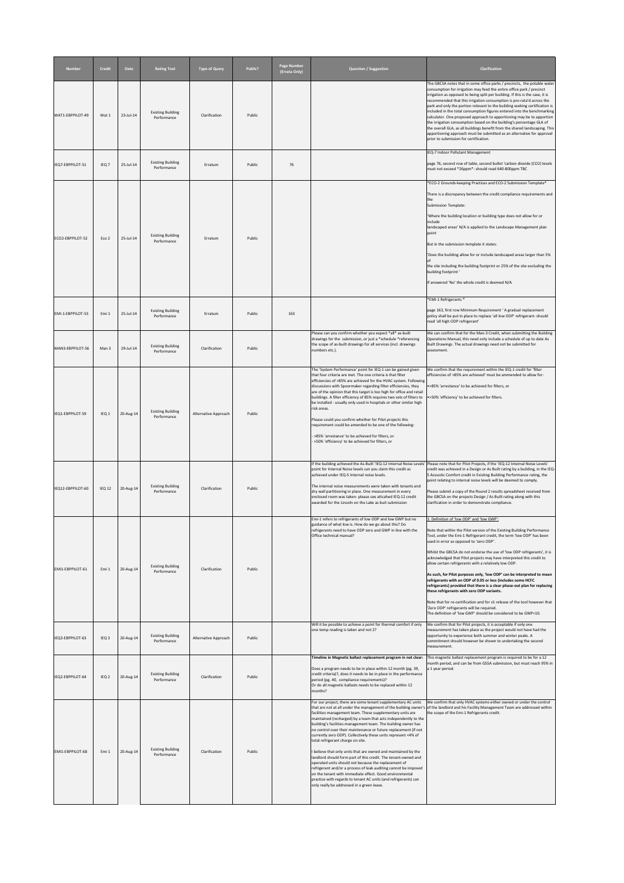| <b>Number</b>     | <b>Credit</b>     | <b>Date</b> | <b>Rating Tool</b>                      | <b>Type of Query</b> | Public? | <b>Page Number</b><br>(Errata Only) | <b>Question / Suggestion</b>                                                                                                                                                                                                                                                                                                                                                                                                                                                                                                                                                                                                                                                                                                                                                                                                                                                        | <b>Clarification</b>                                                                                                                                                                                                                                                                                                                                                                                                                                                                                                                                                                                                                                                                                                                                                                                                                                                                                                   |
|-------------------|-------------------|-------------|-----------------------------------------|----------------------|---------|-------------------------------------|-------------------------------------------------------------------------------------------------------------------------------------------------------------------------------------------------------------------------------------------------------------------------------------------------------------------------------------------------------------------------------------------------------------------------------------------------------------------------------------------------------------------------------------------------------------------------------------------------------------------------------------------------------------------------------------------------------------------------------------------------------------------------------------------------------------------------------------------------------------------------------------|------------------------------------------------------------------------------------------------------------------------------------------------------------------------------------------------------------------------------------------------------------------------------------------------------------------------------------------------------------------------------------------------------------------------------------------------------------------------------------------------------------------------------------------------------------------------------------------------------------------------------------------------------------------------------------------------------------------------------------------------------------------------------------------------------------------------------------------------------------------------------------------------------------------------|
| WAT1-EBPPILOT-49  | Wat 1             | 23-Jul-14   | <b>Existing Building</b><br>Performance | Clarification        | Public  |                                     |                                                                                                                                                                                                                                                                                                                                                                                                                                                                                                                                                                                                                                                                                                                                                                                                                                                                                     | The GBCSA notes that in some office parks / precincts, the potable water<br>consumption for irrigation may feed the entire office park / precinct<br>irrigation as opposed to being split per building. If this is the case, it is<br>recommended that this irrigation consumption is pro-rata'd across the<br>park and only the portion relevant to the building seeking certification is<br>included in the total consumption figures entered into the benchmarking<br>calculator. One proposed approach to apportioning may be to apportion<br>the irrigation consumption based on the building's percentage GLA of<br>the overall GLA, as all buildings benefit from the shared landscaping. This<br>apportioning approach must be submitted as an alternative for approval<br>prior to submission for certification.                                                                                              |
| IEQ7-EBPPILOT-51  | IEQ <sub>7</sub>  | 25-Jul-14   | <b>Existing Building</b><br>Performance | Erratum              | Public  | 76                                  |                                                                                                                                                                                                                                                                                                                                                                                                                                                                                                                                                                                                                                                                                                                                                                                                                                                                                     | IEQ-7 Indoor Pollutant Management<br>page 76, second row of table, second bullet 'carbon dioxide (CO2) levels<br>must not exceed *26ppm*- should read 640-800ppm TBC                                                                                                                                                                                                                                                                                                                                                                                                                                                                                                                                                                                                                                                                                                                                                   |
| ECO2-EBPPILOT-52  | Eco 2             | 25-Jul-14   | <b>Existing Building</b><br>Performance | Erratum              | Public  |                                     |                                                                                                                                                                                                                                                                                                                                                                                                                                                                                                                                                                                                                                                                                                                                                                                                                                                                                     | *ECO-2 Grounds-keeping Practices and ECO-2 Submission Template*<br>There is a discrepancy between the credit compliance requirements and<br>the<br>Submission Template:<br>Where the building location or building type does not allow for or<br>linclude<br>landscaped areas' N/A is applied to the Landscape Management plan<br>point<br>But in the submission template it states:<br>'Does the building allow for or include landscaped areas larger than 5%<br>the site including the building footprint or 25% of the site excluding the<br>building footprint'<br>If answered 'No' the whole credit is deemed N/A                                                                                                                                                                                                                                                                                                |
| EMI-1-EBPPILOT-53 | Emi 1             | 25-Jul-14   | <b>Existing Building</b><br>Performance | Erratum              | Public  | 163                                 |                                                                                                                                                                                                                                                                                                                                                                                                                                                                                                                                                                                                                                                                                                                                                                                                                                                                                     | *EMI-1 Refrigerants *<br>page 163, first row Minimum Requirement 'A gradual replacement<br>policy shall be put in place to replace 'all low ODP' refrigerant-should<br>read 'all high ODP refrigerant'                                                                                                                                                                                                                                                                                                                                                                                                                                                                                                                                                                                                                                                                                                                 |
| MAN3-EBPPILOT-56  | Man 3             | 29-Jul-14   | <b>Existing Building</b><br>Performance | Clarification        | Public  |                                     | Please can you confirm whether you expect *all* as-built<br>drawings for the submission, or just a *schedule *referencing<br>the scope of as-built drawings for all services (incl. drawings<br>numbers etc.).                                                                                                                                                                                                                                                                                                                                                                                                                                                                                                                                                                                                                                                                      | We can confirm that for the Man-3 Credit, when submitting the Building<br>Operations Manual, this need only include a schedule of up to date As<br>Built Drawings. The actual drawings need not be submitted for<br>assessment.                                                                                                                                                                                                                                                                                                                                                                                                                                                                                                                                                                                                                                                                                        |
| IEQ1-EBPPILOT-59  | IEQ <sub>1</sub>  | 20-Aug-14   | <b>Existing Building</b><br>Performance | Alternative Approach | Public  |                                     | The 'System Performance' point for IEQ-1 can be gained given<br>that four criteria are met. The one criteria is that filter<br>efficiencies of >85% are achieved for the HVAC system. Following<br>discussions with Spoormaker regarding filter efficiencies, they<br>are of the opinion that this target is too high for office and retail<br>buildings. A filter efficiency of 85% requires two sets of filters to<br>be installed - usually only used in hospitals or other similar high<br>risk areas.<br>Please could you confirm whether for Pilot projects this<br>requirement could be amended to be one of the following:<br>>85% 'arrestance' to be achieved for filters, or<br>->50% 'efficiency' to be achieved for filters, or                                                                                                                                         | We confirm that the requirement within the IEQ-1 credit for 'filter<br>efficiencies of >85% are achieved' must be ammended to allow for:<br>•>85% 'arrestance' to be achieved for filters, or<br>•>50% 'efficiency' to be achieved for filters.                                                                                                                                                                                                                                                                                                                                                                                                                                                                                                                                                                                                                                                                        |
| IEQ12-EBPPILOT-60 | IEQ <sub>12</sub> | 20-Aug-14   | <b>Existing Building</b><br>Performance | Clarification        | Public  |                                     | If the building achieved the As-Built 'IEQ-12 Internal Noise Levels'<br>point for Internal Noise levels can you claim this credit as<br>achieved under IEQ-5 Internal noise levels.<br>The internal noise measurements were taken with tenants and<br>dry wall partitioning in place. One measurement in every<br>enclosed room was taken- please see attcahed IEQ-12 credit<br>awarded for the Lincoln on the Lake as buit submission                                                                                                                                                                                                                                                                                                                                                                                                                                              | Please note that for Pilot Projects, if the 'IEQ-12 Internal Noise Levels'<br>credit was achieved in a Design or As Built rating by a building, in the IEQ-<br>5 Acoustic Comfort credit in Existing Building Performance rating, the<br>point relating to internal noise levels will be deemed to comply.<br>Please submit a copy of the Round 2 results spreadsheet received from<br>the GBCSA on the projects Design / As Built rating along with this<br>clarification in order to demonstrate compliance.                                                                                                                                                                                                                                                                                                                                                                                                         |
| EMI1-EBPPILOT-61  | Emi 1             | 20-Aug-14   | <b>Existing Building</b><br>Performance | Clarification        | Public  |                                     | Emi-1 refers to refrigerants of low ODP and low GWP but no<br>guidance of what low is. How do we go about this? Do<br>refrigerants need to have ODP zero and GWP in line with the<br>Office technical manual?                                                                                                                                                                                                                                                                                                                                                                                                                                                                                                                                                                                                                                                                       | . Definition of 'low ODP' and 'low GWP':<br>Note that within the Pilot version of the Existing Building Performance<br>Tool, under the Emi-1 Refrigerant credit, the term 'low ODP' has been<br>used in error as opposed to 'zero ODP'.<br>Whilst the GBCSA do not endorse the use of 'low ODP refrigerants', it is<br>acknowledged that Pilot projects may have interpreted this credit to<br>allow certain refrigerants with a relatively low ODP.<br>As such, for Pilot purposes only, 'low ODP' can be interpreted to mean<br>refrigerants with an ODP of 0.05 or less (includes some HCFC<br>refrigerants) provided that there is a clear phase-out plan for replacing<br>these refrigerants with zero ODP variants.<br>Note that for re-certification and for v1 release of the tool however that<br>'Zero ODP' refrigerants will be required.<br>The definition of 'low GWP' should be considered to be GWP<10. |
| IEQ3-EBPPILOT-63  | IEQ <sub>3</sub>  | 20-Aug-14   | <b>Existing Building</b><br>Performance | Alternative Approach | Public  |                                     | Will it be possible to achieve a point for thermal comfort if only<br>one temp reading is taken and not 2?                                                                                                                                                                                                                                                                                                                                                                                                                                                                                                                                                                                                                                                                                                                                                                          | We confirm that for Pilot projects, it is acceptable if only one<br>measurement has taken place as the project would not have had the<br>opportunity to experience both summer and winter peaks. A<br>commitment should however be shown to undertaking the second<br>measurement.                                                                                                                                                                                                                                                                                                                                                                                                                                                                                                                                                                                                                                     |
| IEQ2-EBPPILOT-64  | IEQ <sub>2</sub>  | 20-Aug-14   | <b>Existing Building</b><br>Performance | Clarification        | Public  |                                     | Timeline in Magnetic ballast replacement program in not clear:<br>Does a program needs to be in place within 12 month (pg. 39,<br>credit criteria)?, does it needs to be in place in the performance<br>period (pg. 40, compliance requirements)?<br>Or do all magnetic ballasts needs to be replaced within 12<br>months?                                                                                                                                                                                                                                                                                                                                                                                                                                                                                                                                                          | This magnetic ballast replacement program is required to be for a 12<br> month period, and can be from GSSA submission, but must reach 95% in<br>a 1 year period.                                                                                                                                                                                                                                                                                                                                                                                                                                                                                                                                                                                                                                                                                                                                                      |
| EMI1-EBPPILOT-68  | Emi 1             | 20-Aug-14   | <b>Existing Building</b><br>Performance | Clarification        | Public  |                                     | For our project, there are some tenant supplementary AC units<br>facilities management team. These supplementary units are<br>maintained (recharged) by a team that acts independently to the<br>building's facilities management team. The building owner has<br>no control over their maintenance or future replacement (if not<br>currently zero ODP). Collectively these units represent <4% of<br>total refrigerant charge on site.<br>I believe that only units that are owned and maintained by the<br>landlord should form part of this credit. The tenant-owned and<br>operated units should not because the replacement of<br>refrigerant and/or a process of leak auditing cannot be imposed<br>on the tenant with immediate effect. Good environmental<br>practice with regards to tenant AC units (and refrigerants) can<br>only really be addressed in a green lease. | We confirm that only HVAC systems either owned or under the control<br>that are not at all under the management of the building owner's of the landlord and his Facility Management Team are addressed within<br>the scope of the Emi-1 Refrigerants credit.                                                                                                                                                                                                                                                                                                                                                                                                                                                                                                                                                                                                                                                           |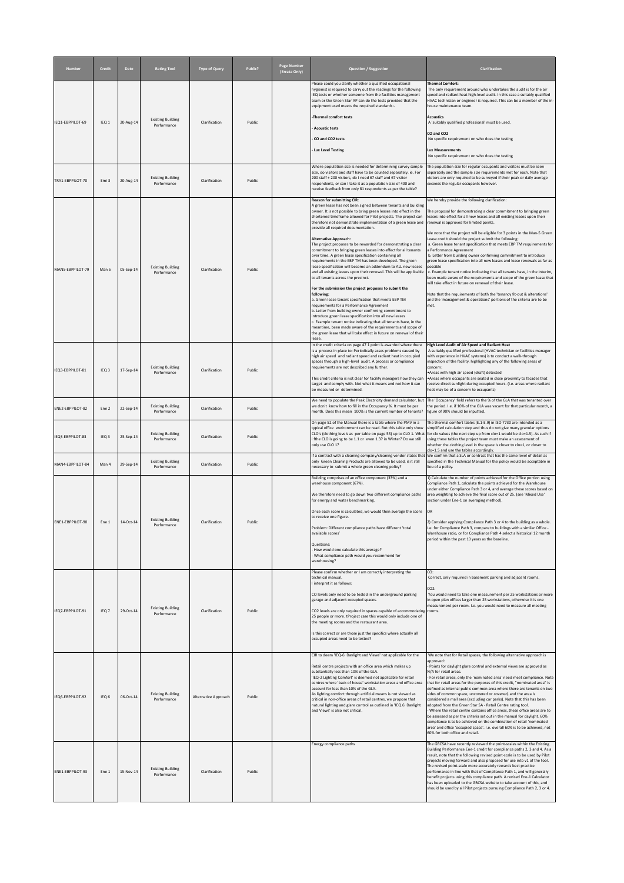| <b>Number</b>    | <b>Credit</b>    | <b>Date</b> | <b>Rating Tool</b>                      | <b>Type of Query</b> | Public? | <b>Page Number</b><br>(Errata Only) | Question / Suggestion                                                                                                                                                                                                                                                                                                                                                                                                                                                                                                                                                                                                                                                                                                                                                                                                                                                                                                                                                                                                                                                                                                                                                                                                                                                                                                                             | <b>Clarification</b>                                                                                                                                                                                                                                                                                                                                                                                                                                                                                                                                                                                                                                                                                                                                                                                                                                                                                                                                                                                                             |
|------------------|------------------|-------------|-----------------------------------------|----------------------|---------|-------------------------------------|---------------------------------------------------------------------------------------------------------------------------------------------------------------------------------------------------------------------------------------------------------------------------------------------------------------------------------------------------------------------------------------------------------------------------------------------------------------------------------------------------------------------------------------------------------------------------------------------------------------------------------------------------------------------------------------------------------------------------------------------------------------------------------------------------------------------------------------------------------------------------------------------------------------------------------------------------------------------------------------------------------------------------------------------------------------------------------------------------------------------------------------------------------------------------------------------------------------------------------------------------------------------------------------------------------------------------------------------------|----------------------------------------------------------------------------------------------------------------------------------------------------------------------------------------------------------------------------------------------------------------------------------------------------------------------------------------------------------------------------------------------------------------------------------------------------------------------------------------------------------------------------------------------------------------------------------------------------------------------------------------------------------------------------------------------------------------------------------------------------------------------------------------------------------------------------------------------------------------------------------------------------------------------------------------------------------------------------------------------------------------------------------|
| IEQ1-EBPPILOT-69 | IEQ <sub>1</sub> | 20-Aug-14   | <b>Existing Building</b><br>Performance | Clarification        | Public  |                                     | Please could you clarify whether a qualified occupational<br>hygienist is required to carry out the readings for the following<br>IEQ tests or whether someone from the facilities management<br>team or the Green Star AP can do the tests provided that the<br>equipment used meets the required standards:-<br>-Thermal comfort tests<br><b>Acoustic tests</b><br>CO and CO2 tests<br><b>Lux Level Testing</b>                                                                                                                                                                                                                                                                                                                                                                                                                                                                                                                                                                                                                                                                                                                                                                                                                                                                                                                                 | <b>Thermal Comfort:</b><br>The only requirement around who undertakes the audit is for the air<br>speed and radiant heat high-level audit. In this case a suitably qualified<br>HVAC technician or engineer is required. This can be a member of the in-<br>house maintenance team.<br><b>Acoustics</b><br>A 'suitably qualified professional' must be used.<br>CO and CO <sub>2</sub><br>No specific requirement on who does the testing<br>Lux Measurements<br>No specific requirement on who does the testing                                                                                                                                                                                                                                                                                                                                                                                                                                                                                                                 |
| TRA1-EBPPILOT-70 | Emi <sub>3</sub> | 20-Aug-14   | <b>Existing Building</b><br>Performance | Clarification        | Public  |                                     | Where population size is needed for determining survey sample<br>size, do visitors and staff have to be counted separately, ie, For<br>200 staff + 200 visitors, do I need 67 staff and 67 visitor<br>respondents, or can I take it as a population size of 400 and<br>receive feedback from only 81 respondents as per the table?                                                                                                                                                                                                                                                                                                                                                                                                                                                                                                                                                                                                                                                                                                                                                                                                                                                                                                                                                                                                                | The population size for regular occupants and visitors must be seen<br>separately and the sample size requirements met for each. Note that<br>visitors are only required to be surveyed if their peak or daily average<br>exceeds the regular occupants however.                                                                                                                                                                                                                                                                                                                                                                                                                                                                                                                                                                                                                                                                                                                                                                 |
| MAN5-EBPPILOT-79 | Man 5            | 05-Sep-14   | <b>Existing Building</b><br>Performance | Clarification        | Public  |                                     | <b>Reason for submitting CIR:</b><br>A green lease has not been signed between tenants and building<br>owner. It is not possible to bring green leases into effect in the<br>shortened timeframe allowed for Pilot projects. The project can<br>therefore not demonstrate implementation of a green lease and<br>provide all required documentation.<br><b>Alternative Approach:</b><br>The project proposes to be rewarded for demonstrating a clear<br>commitment to bringing green leases into effect for all tenants<br>over time. A green lease specification containing all<br>requirements in the EBP TM has been developed. The green<br>lease specification will become an addendum to ALL new leases<br>and all existing leases upon their renewal. This will be applicable<br>to all tenants across the precinct.<br>For the submission the project proposes to submit the<br>following:<br>a. Green lease tenant specification that meets EBP TM<br>requirements for a Performance Agreement<br>b. Letter from building owner confirming commitment to<br>introduce green lease specification into all new leases<br>c. Example tenant notice indicating that all tenants have, in the<br>meantime, been made aware of the requirements and scope of<br>the green lease that will take effect in future on renewal of their<br>lease. | We hereby provide the following clarification:<br>The proposal for demonstrating a clear commitment to bringing green<br>leases into effect for all new leases and all existing leases upon their<br>renewal is approved for limited points.<br>We note that the project will be eligible for 3 points in the Man-5 Green<br>Lease credit should the project submit the following:<br>a. Green lease tenant specification that meets EBP TM requirements for<br>a Performance Agreement<br>b. Letter from building owner confirming commitment to introduce<br>green lease specification into all new leases and lease renewals as far as<br>possible<br>c. Example tenant notice indicating that all tenants have, in the interim,<br>been made aware of the requirements and scope of the green lease that<br>will take effect in future on renewal of their lease.<br>Note that the requirements of both the 'tenancy fit-out & alterations'<br>and the 'management & operations' portions of the criteria are to be<br>Imet. |
| IEQ3-EBPPILOT-81 | IEQ <sub>3</sub> | 17-Sep-14   | <b>Existing Building</b><br>Performance | Clarification        | Public  |                                     | In the credit criteria on page 47 1 point is awarded where there<br>is a process in place to: Periodically asses problems caused by<br>high air speed and radiant speed and radiant heat in occupied<br>spaces through a high-level audit. A process or compliance<br>requirements are not described any further.<br>This credit criteria is not clear for facility managers how they can<br>target and comply with. Not what it means and not how it can<br>be measured or determined.                                                                                                                                                                                                                                                                                                                                                                                                                                                                                                                                                                                                                                                                                                                                                                                                                                                           | High Level Audit of Air Speed and Radiant Heat<br>A suitably qualified professional (HVAC technician or facilities manager<br>with experience in HVAC systems) is to conduct a walk-through<br>inspection of the facility, highlighting any of the following areas of<br>concern:<br>Areas with high air speed (draft) detected<br>Areas where occupants are seated in close proximity to facades that<br>receive direct sunlight during occupied hours. (i.e. areas where radiant<br>heat may be of a concern to occupants)                                                                                                                                                                                                                                                                                                                                                                                                                                                                                                     |
| ENE2-EBPPILOT-82 | Ene <sub>2</sub> | 22-Sep-14   | <b>Existing Building</b><br>Performance | Clarification        | Public  |                                     | we don't know how to fill in the Occupancy %. It must be per<br>month. Does this mean 100% is the current number of tenants?                                                                                                                                                                                                                                                                                                                                                                                                                                                                                                                                                                                                                                                                                                                                                                                                                                                                                                                                                                                                                                                                                                                                                                                                                      | We need to populate the Peak Electricity demand calculator, but The 'Occupancy' field refers to the % of the GLA that was tenanted over<br>the period. I.e. if 10% of the GLA was vacant for that particular month, a<br>figure of 90% should be inputted.                                                                                                                                                                                                                                                                                                                                                                                                                                                                                                                                                                                                                                                                                                                                                                       |
| IEQ3-EBPPILOT-83 | IEQ <sub>3</sub> | 25-Sep-14   | <b>Existing Building</b><br>Performance | Clarification        | Public  |                                     | On page 52 of the Manual there is a table where the PMV in a<br>i fthe CLO is going to be 1.1 or even 1.3? in Winter? Do we still<br>only use CLO 1?                                                                                                                                                                                                                                                                                                                                                                                                                                                                                                                                                                                                                                                                                                                                                                                                                                                                                                                                                                                                                                                                                                                                                                                              | The thermal comfort tables (E.1-E.9) in ISO 7730 are intended as a<br>typical office environment can be read. But this table only show simplified calculation step and thus do not give many granular options<br>CLO's (clothing levels as per table on page 55) up to CLO 1. What for clo values (the next step up from clo=1 would be clo=1.5). As such if<br>using these tables the project team must make an assessment of<br>whether the clothing level in the space is closer to clo=1, or closer to<br>clo=1.5 and use the tables accordingly.                                                                                                                                                                                                                                                                                                                                                                                                                                                                            |
| MAN4-EBPPILOT-84 | Man 4            | 29-Sep-14   | <b>Existing Building</b><br>Performance | Clarification        | Public  |                                     | If a contract with a cleaning company/cleaning vendor states that<br>only Green Cleaning Products are allowed to be used, is it still<br>necessary to submit a whole green cleaning policy?                                                                                                                                                                                                                                                                                                                                                                                                                                                                                                                                                                                                                                                                                                                                                                                                                                                                                                                                                                                                                                                                                                                                                       | We confirm that a SLA or contract that has the same level of detail as<br>specified in the Technical Manual for the policy would be acceptable in<br>lieu of a policy.                                                                                                                                                                                                                                                                                                                                                                                                                                                                                                                                                                                                                                                                                                                                                                                                                                                           |
| ENE1-EBPPILOT-90 | Ene 1            | 14-Oct-14   | <b>Existing Building</b><br>Performance | Clarification        | Public  |                                     | Building comprises of an office component (33%) and a<br>warehouse component (67%).<br>We therefore need to go down two different compliance paths<br>for energy and water benchmarking.<br>$\vert$ Once each score is calculated, we would then average the score $\vert$ OR<br>to receive one figure.<br>Problem: Different compliance paths have different 'total<br>available scores'<br>Questions:<br>How would one calculate this average?<br>What compliance path would you recommend for<br>warehousing?                                                                                                                                                                                                                                                                                                                                                                                                                                                                                                                                                                                                                                                                                                                                                                                                                                  | 1) Calculate the number of points achieved for the Office portion using<br>Compliance Path 1, calculate the points achieved for the Warehouse<br>under either Compliance Path 3 or 4, and average these scores based on<br>area weighting to achieve the final score out of 25. (see 'Mixed Use'<br>section under Ene-1 on averaging method).<br>[2] Consider applying Compliance Path 3 or 4 to the building as a whole.<br>I.e. for Compliance Path 3, compare to buildings with a similar Office -<br>Warehouse ratio, or for Compliance Path 4 select a historical 12 month<br>period within the past 10 years as the baseline.                                                                                                                                                                                                                                                                                                                                                                                              |
| IEQ7-EBPPILOT-91 | IEQ <sub>7</sub> | 29-Oct-14   | <b>Existing Building</b><br>Performance | Clarification        | Public  |                                     | Please confirm whether or I am correctly interpreting the<br>technical manual.<br>I interpret it as follows:<br>CO levels only need to be tested in the underground parking<br>garage and adjacent occupied spaces.<br>CO2 levels are only required in spaces capable of accommodating rooms.<br>25 people or more. tProject case this would only include one of<br>the meeting rooms and the restaurant area.<br>Is this correct or are those just the specifics where actually all<br>occupied areas need to be tested?                                                                                                                                                                                                                                                                                                                                                                                                                                                                                                                                                                                                                                                                                                                                                                                                                         | CO:<br>Correct, only required in basement parking and adjacent rooms.<br>$CO2$ :<br>You would need to take one measurement per 25 workstations or more<br>in open plan offices larger than 25 workstations, otherwise it is one<br>measurement per room. I.e. you would need to measure all meeting                                                                                                                                                                                                                                                                                                                                                                                                                                                                                                                                                                                                                                                                                                                              |
| IEQ6-EBPPILOT-92 | IEQ <sub>6</sub> | 06-Oct-14   | <b>Existing Building</b><br>Performance | Alternative Approach | Public  |                                     | CIR to deem 'IEQ-6: Daylight and Views' not applicable for the<br>Retail centre projects with an office area which makes up<br>substantially less than 10% of the GLA.<br>'IEQ-2 Lighting Comfort' is deemed not applicable for retail<br>centres where 'back of house' workstation areas and office area<br>account for less than 10% of the GLA.<br>As lighting comfort through artificial means is not viewed as<br>critical in non-office areas of retail centres, we propose that<br>natural lighting and glare control as outlined in 'IEQ 6: Daylight<br>and Views' is also not critical.                                                                                                                                                                                                                                                                                                                                                                                                                                                                                                                                                                                                                                                                                                                                                  | We note that for Retail spaces, the following alternative approach is<br>approved:<br>- Points for daylight glare control and external views are approved as<br>N/A for retail areas.<br>- For retail areas, only the 'nominated area' need meet compliance. Note<br>that for retail areas for the purposes of this credit, "nominated area" is<br>defined as internal public common area where there are tenants on two<br>sides of common space, uncovered or covered, and the area is<br>considered a mall area (excluding car parks). Note that this has been<br>adopted from the Green Star SA - Retail Centre rating tool.<br>Where the retail centre contains office areas, these office areas are to<br>be assessed as per the criteria set out in the manual for daylight. 60%<br>compliance is to be achieved on the combination of retail 'nominated<br>area' and office 'occupied space'. I.e. overall 60% is to be achieved, not<br>60% for both office and retail.                                                 |
| ENE1-EBPPILOT-93 | Ene 1            | 15-Nov-14   | <b>Existing Building</b><br>Performance | Clarification        | Public  |                                     | Energy compliance paths                                                                                                                                                                                                                                                                                                                                                                                                                                                                                                                                                                                                                                                                                                                                                                                                                                                                                                                                                                                                                                                                                                                                                                                                                                                                                                                           | The GBCSA have recently reviewed the point-scales within the Existing<br>Building Performance Ene-1 credit for compliance paths 2, 3 and 4. As a<br>result, note that the following revised point-scale is to be used by Pilot<br>projects moving forward and also proposed for use into v1 of the tool.<br>The revised point-scale more accurately rewards best practice<br>performance in line with that of Compliance Path 1, and will generally<br>benefit projects using this compliance path. A revised Ene-1 Calculator<br>has been uploaded to the GBCSA website to take account of this, and<br>should be used by all Pilot projects pursuing Compliance Path 2, 3 or 4.                                                                                                                                                                                                                                                                                                                                                |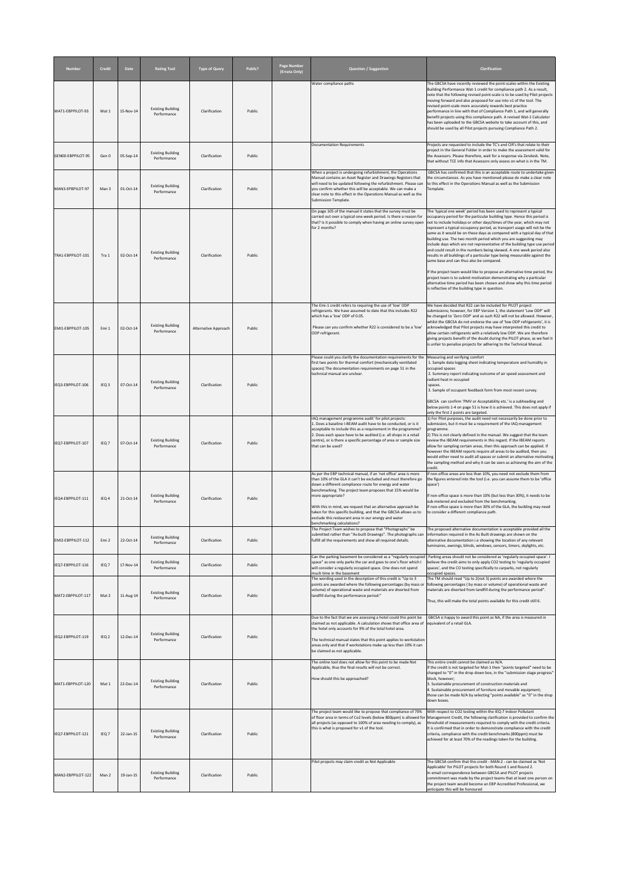| <b>Number</b>     | <b>Credit</b>    | <b>Date</b> | <b>Rating Tool</b>                      | <b>Type of Query</b> | Public? | <b>Page Number</b><br>(Errata Only) | <b>Question / Suggestion</b>                                                                                                                                                                                                                                                                                                                              | <b>Clarification</b>                                                                                                                                                                                                                                                                                                                                                                                                                                                                                                                                                                                                                                                                                                                                                                                                                                                                  |
|-------------------|------------------|-------------|-----------------------------------------|----------------------|---------|-------------------------------------|-----------------------------------------------------------------------------------------------------------------------------------------------------------------------------------------------------------------------------------------------------------------------------------------------------------------------------------------------------------|---------------------------------------------------------------------------------------------------------------------------------------------------------------------------------------------------------------------------------------------------------------------------------------------------------------------------------------------------------------------------------------------------------------------------------------------------------------------------------------------------------------------------------------------------------------------------------------------------------------------------------------------------------------------------------------------------------------------------------------------------------------------------------------------------------------------------------------------------------------------------------------|
| WAT1-EBPPILOT-93  | Wat 1            | 15-Nov-14   | <b>Existing Building</b><br>Performance | Clarification        | Public  |                                     | Water compliance paths                                                                                                                                                                                                                                                                                                                                    | The GBCSA have recently reviewed the point-scales within the Existing<br>Building Performance Wat-1 credit for compliance path 2. As a result,<br>note that the following revised point-scale is to be used by Pilot projects<br>moving forward and also proposed for use into v1 of the tool. The<br>revised point-scale more accurately rewards best practice<br>performance in line with that of Compliance Path 1, and will generally<br>benefit projects using this compliance path. A revised Wat-1 Calculator<br>has been uploaded to the GBCSA website to take account of this, and<br>should be used by all Pilot projects pursuing Compliance Path 2.                                                                                                                                                                                                                       |
| GEN00-EBPPILOT-95 | Gen 0            | 05-Sep-14   | <b>Existing Building</b><br>Performance | Clarification        | Public  |                                     | Documentation Requirements                                                                                                                                                                                                                                                                                                                                | Projects are requested to include the TC's and CIR's that relate to their<br>project in the General Folder in order to make the assessment valid for<br>the Assessors. Please therefore, wait for a response via Zendesk. Note,<br>that without TCE info that Assessors only assess on what is in the TM.                                                                                                                                                                                                                                                                                                                                                                                                                                                                                                                                                                             |
| MAN3-EPBPILOT-97  | Man 3            | 01-Oct-14   | <b>Existing Building</b><br>Performance | Clarification        | Public  |                                     | When a project is undergoing refurbishment, the Operations<br>Manual contains an Asset Register and Drawings Registers that<br>will need to be updated following the refurbishment. Please car<br>you confirm whether this will be acceptable. We can make a<br>clear note to this effect in the Operations Manual as well as the<br>Submission Template. | GBCSA has confirmed that this is an acceptable route to undertake given<br>the circumstances. As you have mentioned please do make a clear note<br>to this effect in the Operations Manual as well as the Submission<br>Template.                                                                                                                                                                                                                                                                                                                                                                                                                                                                                                                                                                                                                                                     |
| TRA1-EBPPILOT-101 | Tra 1            | 02-Oct-14   | <b>Existing Building</b><br>Performance | Clarification        | Public  |                                     | On page 105 of the manual it states that the survey must be<br>carried out over a typical one-week period. Is there a reason for<br>that? Is it possible to comply when having an online survey open<br>for 2 months?                                                                                                                                     | The 'typical one week' period has been used to represent a typical<br>occupancy period for the particular building type. Hence this period is<br>not to include holidays or other days/times of the year, which may not<br>represent a typical occupancy period, as transport usage will not be the<br>same as it would be on these days as compared with a typical day of that<br>building use. The two month period which you are suggesting may<br>include days which are not representative of the building type use period<br>and could result in the numbers being skewed. A one week period also<br>results in all buildings of a particular type being measurable against the<br>same base and can thus also be compared.<br>If the project team would like to propose an alternative time period, the<br>project team is to submit motivation demonstrating why a particular |
|                   |                  |             |                                         |                      |         |                                     | The Emi-1 credit refers to requiring the use of 'low' ODP                                                                                                                                                                                                                                                                                                 | alternative time period has been chosen and show why this time period<br>is reflective of the building type in question.<br>We have decided that R22 can be included for PILOT project                                                                                                                                                                                                                                                                                                                                                                                                                                                                                                                                                                                                                                                                                                |
| EMI1-EBPPILOT-105 | Emi 1            | 02-Oct-14   | <b>Existing Building</b><br>Performance | Alternative Approach | Public  |                                     | refrigerants. We have assumed to date that this includes R22<br>which has a 'low' ODP of 0.05.<br>Please can you confirm whether R22 is considered to be a 'low'<br>ODP refrigerant.                                                                                                                                                                      | submissions; however, for EBP Version 1, the statement 'Low ODP' will<br>be changed to 'Zero ODP' and as such R22 will not be allowed. However,<br>whilst the GBCSA do not endorse the use of 'low ODP refrigerants', it is<br>acknowledged that Pilot projects may have interpreted this credit to<br>allow certain refrigerants with a relatively low ODP. We are therefore<br>giving projects benefit of the doubt during the PILOT phase, as we feel it<br>is unfair to penalise projects for adhering to the Technical Manual.                                                                                                                                                                                                                                                                                                                                                   |
| IEQ3-EBPPILOT-106 | IEQ <sub>3</sub> | 07-Oct-14   | <b>Existing Building</b><br>Performance | Clarification        | Public  |                                     | Please could you clarify the documentation requirements for the<br>first two points for thermal comfort (mechanically ventilated<br>spaces) The documentation requirements on page 51 in the<br>technical manual are unclear.                                                                                                                             | Measuring and verifying comfort<br>1. Sample data logging sheet indicating temperature and humidity in<br>occupied spaces<br>2. Summary report indicating outcome of air speed assessment and<br>radiant heat in occupied<br>spaces.<br>3. Sample of occupant feedback form from most recent survey.                                                                                                                                                                                                                                                                                                                                                                                                                                                                                                                                                                                  |
| IEQ7-EBPPILOT-107 | IEQ <sub>7</sub> | 07-Oct-14   | <b>Existing Building</b><br>Performance | Clarification        | Public  |                                     | IAQ management programme audit' for pilot projects:<br>1. Does a baseline I-BEAM audit have to be conducted, or is it<br>acceptable to include this as a requirement in the programme?<br>2. Does each space have to be audited (i.e. all shops in a retail<br>centre), or is there a specific percentage of area or sample size<br>that can be used?     | GBCSA can confirm 'PMV or Acceptability etc.' is a subheading and<br>below points 1-4 on page 51 is how it is achieved. This does not apply if<br>only the first 2 points are targeted.<br>1) For Pilot purposes, the audit need not necessarily be done prior to<br>submission, but it must be a requirement of the IAQ management<br>programme.<br>2) This is not clearly defined in the manual. We suggest that the team<br>review the IBEAM requirements in this regard. If the IBEAM reports<br>allow for sampling certain areas, then this approach can be applied. If<br>however the IBEAM reports require all areas to be audited, then you<br>would either need to audit all spaces or submit an alternative motivating<br>the sampling method and why it can be seen as achieving the aim of the<br>credit.                                                                 |
| IEQ4-EBPPILOT-111 | IEQ <sub>4</sub> | 21-Oct-14   | <b>Existing Building</b><br>Performance | Clarification        | Public  |                                     | As per the EBP technical manual, if an 'not office' area is more<br>than 10% of the GLA it can't be excluded and must therefore go<br>down a different compliance route for energy and water<br>benchmarking. The project team proposes that 15% would be<br>more appropriate?<br>With this in mind, we request that an alternative approach be           | If non-office areas are less than 10%, you need not exclude them from<br>the figures entered into the tool (i.e. you can assume them to be 'office<br>space')<br>If non-office space is more than 10% (but less than 30%), it needs to be<br>sub-metered and excluded from the benchmarking.<br>If non-office space is more than 30% of the GLA, the building may need                                                                                                                                                                                                                                                                                                                                                                                                                                                                                                                |
|                   |                  |             |                                         |                      |         |                                     | taken for this specific building, and that the GBCSA allows us to<br>exclude this restaurant area in our energy and water<br>benchmarking calculations?                                                                                                                                                                                                   | to consider a different compliance path.                                                                                                                                                                                                                                                                                                                                                                                                                                                                                                                                                                                                                                                                                                                                                                                                                                              |
| EMI2-EBPPILOT-112 | Emi <sub>2</sub> | 22-Oct-14   | <b>Existing Building</b><br>Performance | Clarification        | Public  |                                     | The Project Team wishes to propose that "Photographs" be<br>submitted rather than "As-built Drawings". The photographs can<br>fulfill all the requirements and show all required details.                                                                                                                                                                 | The proposed alternative documentation is acceptable provided all the<br>information required in the As Built drawings are shown on the<br>alternative documentation i.e showing the location of any relevant<br>luminaires, awnings, blinds, windows, sensors, timers, skylights, etc.                                                                                                                                                                                                                                                                                                                                                                                                                                                                                                                                                                                               |
| IEQ7-EBPPILOT-116 | IEQ <sub>7</sub> | 17-Nov-14   | <b>Existing Building</b><br>Performance | Clarification        | Public  |                                     | Can the parking basement be considered as a "regularly occupied<br>space" as one only parks the car and goes to one's floor which I<br>will consider a regularly occupied space. One does not spend<br>much time in the basement                                                                                                                          | Parking areas should not be considered as 'regularly occupied space'. I<br>believe the credit aims to only apply CO2 testing to 'regularly occupied<br>spaces', and the CO testing specifically to carparks, not regularly<br>occupied spaces.                                                                                                                                                                                                                                                                                                                                                                                                                                                                                                                                                                                                                                        |
| MAT2-EBPPILOT-117 | Mat 2            | 11-Aug-14   | <b>Existing Building</b><br>Performance | Clarification        | Public  |                                     | The wording used in the description of this credit is "Up to 3<br>volume) of operational waste and materials are diverted from<br>landfill during the performance period:"                                                                                                                                                                                | The TM should read "Up to 2(not 3) points are awarded where the<br>points are awarded where the following percentages (by mass or  following percentages (by mass or volume) of operational waste and<br>materials are diverted from landfill during the performance period".<br>Thus, this will make the total points available for this credit still 6.                                                                                                                                                                                                                                                                                                                                                                                                                                                                                                                             |
|                   |                  |             |                                         |                      |         |                                     | Due to the fact that we are assessing a hotel could this point be<br>claimed as not applicable. A calculation shows that office area of<br>the hotel only accounts for 9% of the total hotel area.                                                                                                                                                        | GBCSA is happy to award this point as NA, if the area is measured in<br>equivalent of a retail GLA.                                                                                                                                                                                                                                                                                                                                                                                                                                                                                                                                                                                                                                                                                                                                                                                   |
| IEQ2-EBPPILOT-119 | IEQ <sub>2</sub> | 12-Dec-14   | <b>Existing Building</b><br>Performance | Clarification        | Public  |                                     | The technical manual states that this point applies to workstation<br>areas only and that if workstations make up less than 10% it can<br>be claimed as not applicable.                                                                                                                                                                                   |                                                                                                                                                                                                                                                                                                                                                                                                                                                                                                                                                                                                                                                                                                                                                                                                                                                                                       |
| MAT1-EBPPILOT-120 | Mat 1            | 22-Dec-14   | <b>Existing Building</b><br>Performance | Clarification        | Public  |                                     | The online tool does not allow for this point to be made Not<br>Applicable, thus the final results will not be correct.<br>How should this be approached?                                                                                                                                                                                                 | This entire credit cannot be claimed as N/A.<br>If the credit is not targeted for Mat-1 then "points targeted" need to be<br>changed to "0" in the drop down box, in the "submission stage progress"<br>block, however;<br>3. Sustainable procurement of construction materials and<br>4. Sustainable procurement of furniture and movable equipment;<br>those can be made N/A by selecting "points available" as "0" in the drop<br>down boxes.                                                                                                                                                                                                                                                                                                                                                                                                                                      |
| IEQ7-EBPPILOT-121 | IEQ <sub>7</sub> | 22-Jan-15   | <b>Existing Building</b><br>Performance | Clarification        | Public  |                                     | The project team would like to propose that compliance of 70%<br>all projects (as opposed to 100% of area needing to comply), as<br>this is what is proposed for v1 of the tool.                                                                                                                                                                          | With respect to CO2 testing within the IEQ-7 Indoor Pollutant<br>of floor area in terms of Co2 levels (below 800ppm) is allowed for Management Credit, the following clarification is provided to confirm the<br>threshold of measurements required to comply with the credit criteria.<br>It is confirmed that in order to demonstrate compliance with the credit<br>criteria, compliance with the credit benchmarks (800ppm) must be<br>achieved for at least 70% of the readings taken for the building.                                                                                                                                                                                                                                                                                                                                                                           |
| MAN2-EBPPILOT-122 | Man 2            | 19-Jan-15   | <b>Existing Building</b><br>Performance | Clarification        | Public  |                                     | Pilot projects may claim credit as Not Applicable                                                                                                                                                                                                                                                                                                         | The GBCSA confirm that this credit - MAN-2 - can be claimed as 'Not<br>Applicable' for PILOT projects for both Round 1 and Round 2.<br>In email correspondence between GBCSA and PILOT projects<br>commitment was made by the project teams that at least one person on<br>the project team would become an EBP Accredited Professional, we<br>anticipate this will be honoured                                                                                                                                                                                                                                                                                                                                                                                                                                                                                                       |